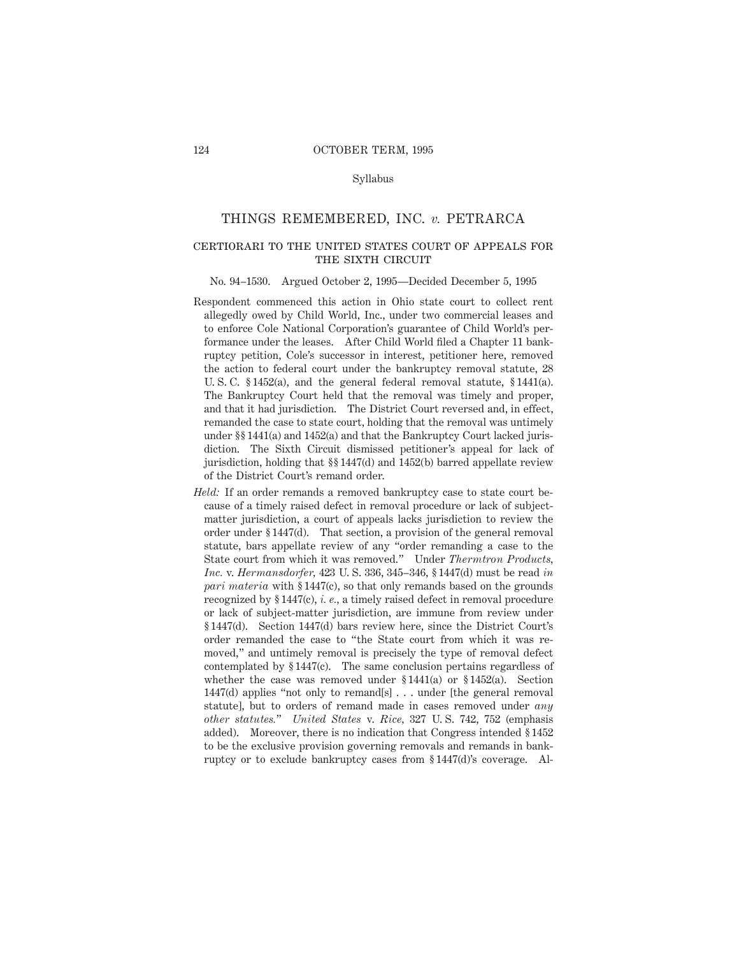#### Syllabus

#### THINGS REMEMBERED, INC. *v.* PETRARCA

# certiorari to the united states court of appeals for THE SIXTH CIRCUIT

#### No. 94–1530. Argued October 2, 1995—Decided December 5, 1995

- Respondent commenced this action in Ohio state court to collect rent allegedly owed by Child World, Inc., under two commercial leases and to enforce Cole National Corporation's guarantee of Child World's performance under the leases. After Child World filed a Chapter 11 bankruptcy petition, Cole's successor in interest, petitioner here, removed the action to federal court under the bankruptcy removal statute, 28 U. S. C. § 1452(a), and the general federal removal statute, § 1441(a). The Bankruptcy Court held that the removal was timely and proper, and that it had jurisdiction. The District Court reversed and, in effect, remanded the case to state court, holding that the removal was untimely under §§ 1441(a) and 1452(a) and that the Bankruptcy Court lacked jurisdiction. The Sixth Circuit dismissed petitioner's appeal for lack of jurisdiction, holding that §§ 1447(d) and 1452(b) barred appellate review of the District Court's remand order.
- Held: If an order remands a removed bankruptcy case to state court because of a timely raised defect in removal procedure or lack of subjectmatter jurisdiction, a court of appeals lacks jurisdiction to review the order under § 1447(d). That section, a provision of the general removal statute, bars appellate review of any "order remanding a case to the State court from which it was removed." Under *Thermtron Products, Inc.* v. *Hermansdorfer,* 423 U. S. 336, 345–346, § 1447(d) must be read *in pari materia* with § 1447(c), so that only remands based on the grounds recognized by § 1447(c), *i. e.,* a timely raised defect in removal procedure or lack of subject-matter jurisdiction, are immune from review under § 1447(d). Section 1447(d) bars review here, since the District Court's order remanded the case to "the State court from which it was removed," and untimely removal is precisely the type of removal defect contemplated by § 1447(c). The same conclusion pertains regardless of whether the case was removed under § 1441(a) or § 1452(a). Section 1447(d) applies "not only to remand[s]... under [the general removal statute], but to orders of remand made in cases removed under *any other statutes.*" *United States* v. *Rice,* 327 U. S. 742, 752 (emphasis added). Moreover, there is no indication that Congress intended § 1452 to be the exclusive provision governing removals and remands in bankruptcy or to exclude bankruptcy cases from § 1447(d)'s coverage. Al-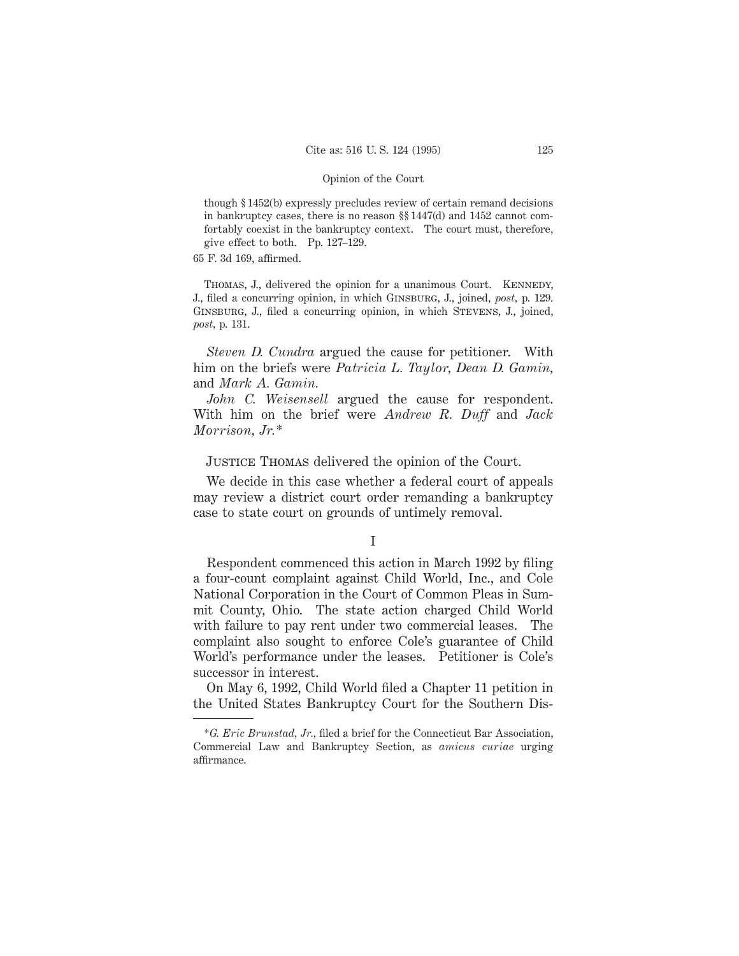though § 1452(b) expressly precludes review of certain remand decisions in bankruptcy cases, there is no reason §§ 1447(d) and 1452 cannot comfortably coexist in the bankruptcy context. The court must, therefore, give effect to both. Pp. 127–129.

65 F. 3d 169, affirmed.

THOMAS, J., delivered the opinion for a unanimous Court. KENNEDY, J., filed a concurring opinion, in which Ginsburg, J., joined, *post,* p. 129. Ginsburg, J., filed a concurring opinion, in which Stevens, J., joined, *post,* p. 131.

*Steven D. Cundra* argued the cause for petitioner. With him on the briefs were *Patricia L. Taylor, Dean D. Gamin,* and *Mark A. Gamin.*

*John C. Weisensell* argued the cause for respondent. With him on the brief were *Andrew R. Duff* and *Jack Morrison, Jr.\**

Justice Thomas delivered the opinion of the Court.

We decide in this case whether a federal court of appeals may review a district court order remanding a bankruptcy case to state court on grounds of untimely removal.

# I

Respondent commenced this action in March 1992 by filing a four-count complaint against Child World, Inc., and Cole National Corporation in the Court of Common Pleas in Summit County, Ohio. The state action charged Child World with failure to pay rent under two commercial leases. The complaint also sought to enforce Cole's guarantee of Child World's performance under the leases. Petitioner is Cole's successor in interest.

On May 6, 1992, Child World filed a Chapter 11 petition in the United States Bankruptcy Court for the Southern Dis-

<sup>\*</sup>*G. Eric Brunstad, Jr.,* filed a brief for the Connecticut Bar Association, Commercial Law and Bankruptcy Section, as *amicus curiae* urging affirmance.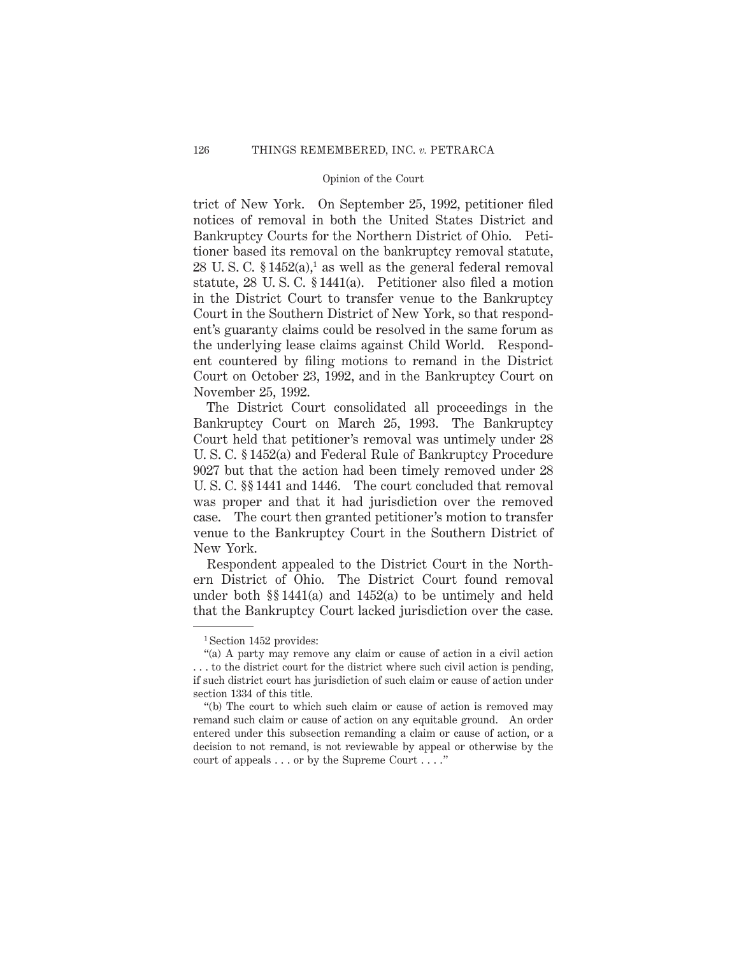trict of New York. On September 25, 1992, petitioner filed notices of removal in both the United States District and Bankruptcy Courts for the Northern District of Ohio. Petitioner based its removal on the bankruptcy removal statute, 28 U.S.C.  $$1452(a),<sup>1</sup>$  as well as the general federal removal statute, 28 U. S. C. § 1441(a). Petitioner also filed a motion in the District Court to transfer venue to the Bankruptcy Court in the Southern District of New York, so that respondent's guaranty claims could be resolved in the same forum as the underlying lease claims against Child World. Respondent countered by filing motions to remand in the District Court on October 23, 1992, and in the Bankruptcy Court on November 25, 1992.

The District Court consolidated all proceedings in the Bankruptcy Court on March 25, 1993. The Bankruptcy Court held that petitioner's removal was untimely under 28 U. S. C. § 1452(a) and Federal Rule of Bankruptcy Procedure 9027 but that the action had been timely removed under 28 U. S. C. §§ 1441 and 1446. The court concluded that removal was proper and that it had jurisdiction over the removed case. The court then granted petitioner's motion to transfer venue to the Bankruptcy Court in the Southern District of New York.

Respondent appealed to the District Court in the Northern District of Ohio. The District Court found removal under both §§ 1441(a) and 1452(a) to be untimely and held that the Bankruptcy Court lacked jurisdiction over the case.

<sup>&</sup>lt;sup>1</sup> Section 1452 provides:

<sup>&</sup>quot;(a) A party may remove any claim or cause of action in a civil action . . . to the district court for the district where such civil action is pending, if such district court has jurisdiction of such claim or cause of action under section 1334 of this title.

<sup>&</sup>quot;(b) The court to which such claim or cause of action is removed may remand such claim or cause of action on any equitable ground. An order entered under this subsection remanding a claim or cause of action, or a decision to not remand, is not reviewable by appeal or otherwise by the court of appeals . . . or by the Supreme Court . . . ."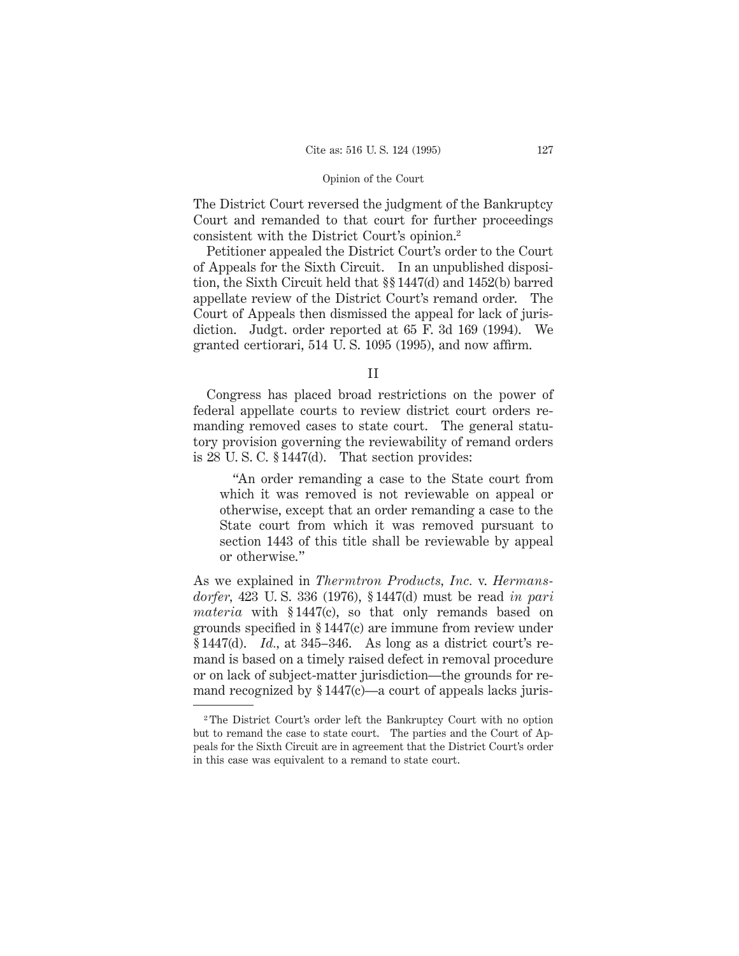The District Court reversed the judgment of the Bankruptcy Court and remanded to that court for further proceedings consistent with the District Court's opinion.2

Petitioner appealed the District Court's order to the Court of Appeals for the Sixth Circuit. In an unpublished disposition, the Sixth Circuit held that §§ 1447(d) and 1452(b) barred appellate review of the District Court's remand order. The Court of Appeals then dismissed the appeal for lack of jurisdiction. Judgt. order reported at 65 F. 3d 169 (1994). We granted certiorari, 514 U. S. 1095 (1995), and now affirm.

II

Congress has placed broad restrictions on the power of federal appellate courts to review district court orders remanding removed cases to state court. The general statutory provision governing the reviewability of remand orders is 28 U. S. C. § 1447(d). That section provides:

"An order remanding a case to the State court from which it was removed is not reviewable on appeal or otherwise, except that an order remanding a case to the State court from which it was removed pursuant to section 1443 of this title shall be reviewable by appeal or otherwise."

As we explained in *Thermtron Products, Inc.* v. *Hermansdorfer,* 423 U. S. 336 (1976), § 1447(d) must be read *in pari materia* with § 1447(c), so that only remands based on grounds specified in § 1447(c) are immune from review under § 1447(d). *Id.,* at 345–346. As long as a district court's remand is based on a timely raised defect in removal procedure or on lack of subject-matter jurisdiction—the grounds for remand recognized by §1447(c)—a court of appeals lacks juris-

<sup>2</sup> The District Court's order left the Bankruptcy Court with no option but to remand the case to state court. The parties and the Court of Appeals for the Sixth Circuit are in agreement that the District Court's order in this case was equivalent to a remand to state court.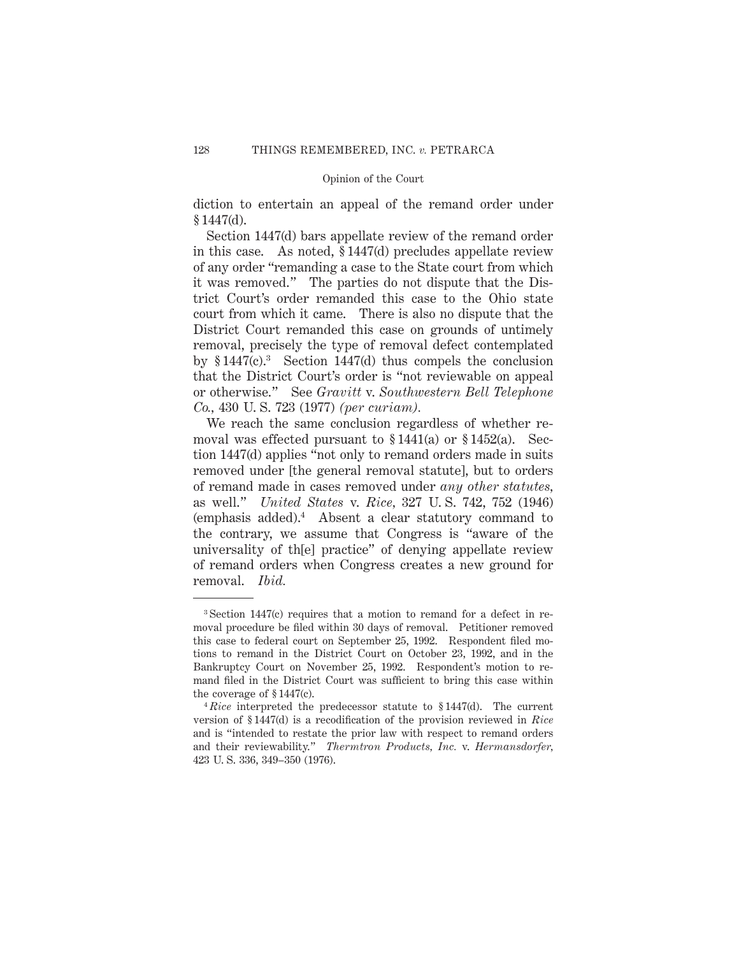diction to entertain an appeal of the remand order under  $§ 1447(d).$ 

Section 1447(d) bars appellate review of the remand order in this case. As noted, § 1447(d) precludes appellate review of any order "remanding a case to the State court from which it was removed." The parties do not dispute that the District Court's order remanded this case to the Ohio state court from which it came. There is also no dispute that the District Court remanded this case on grounds of untimely removal, precisely the type of removal defect contemplated by  $$1447(c).$ <sup>3</sup> Section 1447(d) thus compels the conclusion that the District Court's order is "not reviewable on appeal or otherwise." See *Gravitt* v. *Southwestern Bell Telephone Co.,* 430 U. S. 723 (1977) *(per curiam).*

We reach the same conclusion regardless of whether removal was effected pursuant to  $$1441(a)$  or  $$1452(a)$ . Section 1447(d) applies "not only to remand orders made in suits removed under [the general removal statute], but to orders of remand made in cases removed under *any other statutes,* as well." *United States* v. *Rice,* 327 U. S. 742, 752 (1946) (emphasis added).4 Absent a clear statutory command to the contrary, we assume that Congress is "aware of the universality of th[e] practice" of denying appellate review of remand orders when Congress creates a new ground for removal. *Ibid.*

<sup>3</sup> Section 1447(c) requires that a motion to remand for a defect in removal procedure be filed within 30 days of removal. Petitioner removed this case to federal court on September 25, 1992. Respondent filed motions to remand in the District Court on October 23, 1992, and in the Bankruptcy Court on November 25, 1992. Respondent's motion to remand filed in the District Court was sufficient to bring this case within the coverage of § 1447(c).

<sup>4</sup> *Rice* interpreted the predecessor statute to § 1447(d). The current version of § 1447(d) is a recodification of the provision reviewed in *Rice* and is "intended to restate the prior law with respect to remand orders and their reviewability." *Thermtron Products, Inc.* v. *Hermansdorfer,* 423 U. S. 336, 349–350 (1976).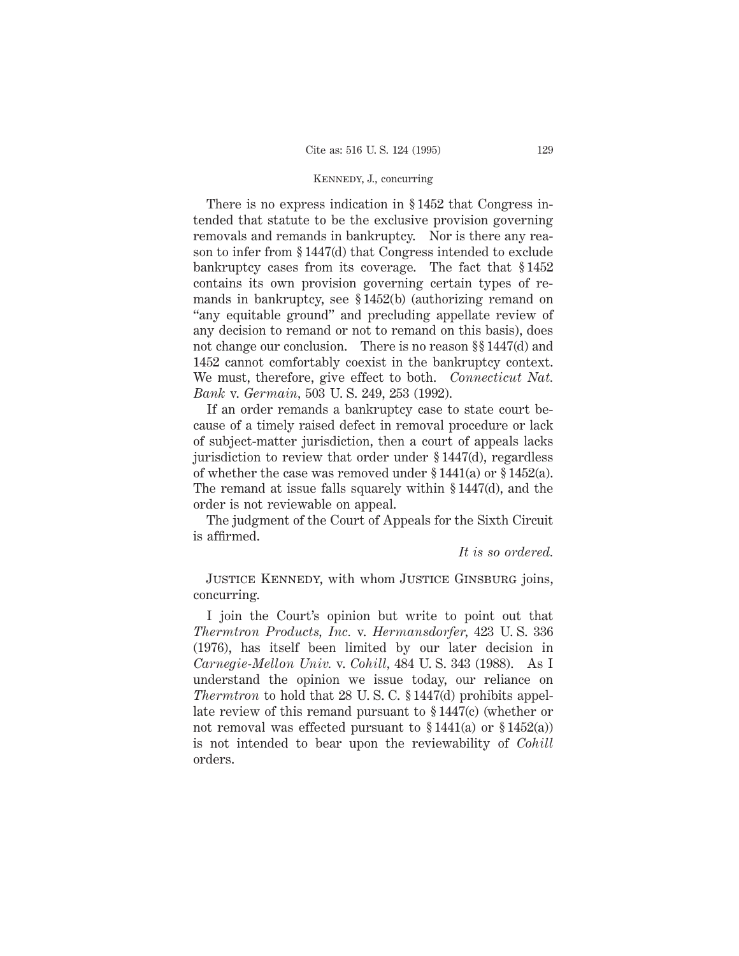# Kennedy, J., concurring

There is no express indication in § 1452 that Congress intended that statute to be the exclusive provision governing removals and remands in bankruptcy. Nor is there any reason to infer from § 1447(d) that Congress intended to exclude bankruptcy cases from its coverage. The fact that § 1452 contains its own provision governing certain types of remands in bankruptcy, see § 1452(b) (authorizing remand on "any equitable ground" and precluding appellate review of any decision to remand or not to remand on this basis), does not change our conclusion. There is no reason §§ 1447(d) and 1452 cannot comfortably coexist in the bankruptcy context. We must, therefore, give effect to both. *Connecticut Nat. Bank* v. *Germain,* 503 U. S. 249, 253 (1992).

If an order remands a bankruptcy case to state court because of a timely raised defect in removal procedure or lack of subject-matter jurisdiction, then a court of appeals lacks jurisdiction to review that order under § 1447(d), regardless of whether the case was removed under § 1441(a) or § 1452(a). The remand at issue falls squarely within § 1447(d), and the order is not reviewable on appeal.

The judgment of the Court of Appeals for the Sixth Circuit is affirmed.

*It is so ordered.*

Justice Kennedy, with whom Justice Ginsburg joins, concurring.

I join the Court's opinion but write to point out that *Thermtron Products, Inc.* v. *Hermansdorfer,* 423 U. S. 336 (1976), has itself been limited by our later decision in *Carnegie-Mellon Univ.* v. *Cohill,* 484 U. S. 343 (1988). As I understand the opinion we issue today, our reliance on *Thermtron* to hold that 28 U.S.C. § 1447(d) prohibits appellate review of this remand pursuant to § 1447(c) (whether or not removal was effected pursuant to  $$1441(a)$  or  $$1452(a)$ ) is not intended to bear upon the reviewability of *Cohill* orders.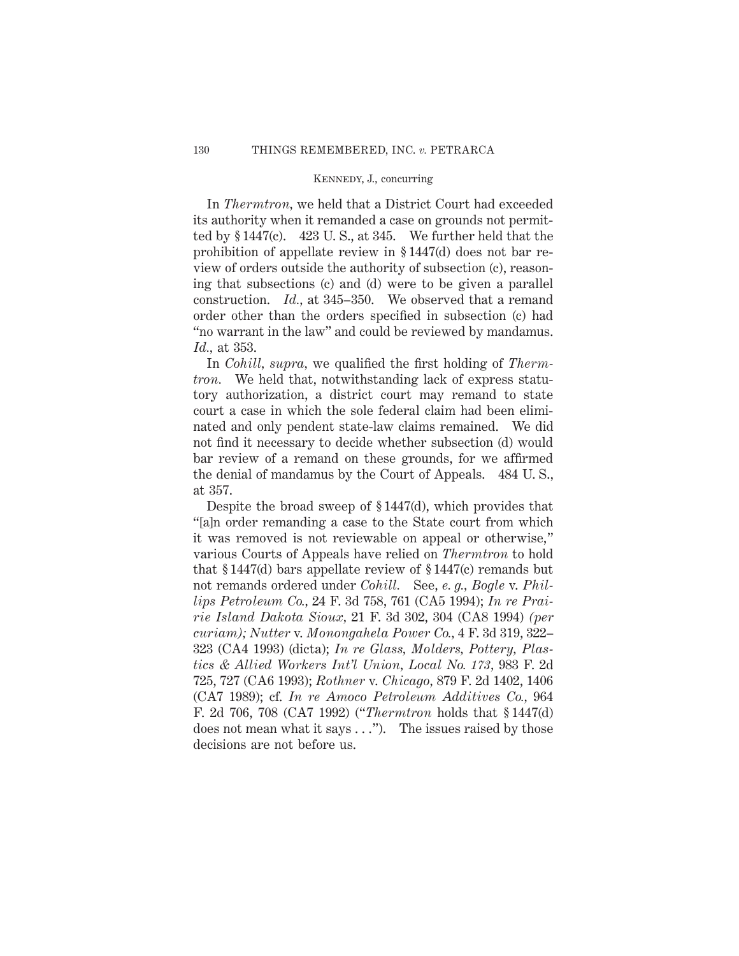# Kennedy, J., concurring

In *Thermtron,* we held that a District Court had exceeded its authority when it remanded a case on grounds not permitted by  $§ 1447(c)$ . 423 U.S., at 345. We further held that the prohibition of appellate review in § 1447(d) does not bar review of orders outside the authority of subsection (c), reasoning that subsections (c) and (d) were to be given a parallel construction. *Id.,* at 345–350. We observed that a remand order other than the orders specified in subsection (c) had "no warrant in the law" and could be reviewed by mandamus. *Id.,* at 353.

In *Cohill, supra,* we qualified the first holding of *Thermtron.* We held that, notwithstanding lack of express statutory authorization, a district court may remand to state court a case in which the sole federal claim had been eliminated and only pendent state-law claims remained. We did not find it necessary to decide whether subsection (d) would bar review of a remand on these grounds, for we affirmed the denial of mandamus by the Court of Appeals. 484 U. S., at 357.

Despite the broad sweep of § 1447(d), which provides that "[a]n order remanding a case to the State court from which it was removed is not reviewable on appeal or otherwise," various Courts of Appeals have relied on *Thermtron* to hold that  $§ 1447$ (d) bars appellate review of  $§ 1447$ (c) remands but not remands ordered under *Cohill.* See, *e. g., Bogle* v. *Phillips Petroleum Co.,* 24 F. 3d 758, 761 (CA5 1994); *In re Prairie Island Dakota Sioux,* 21 F. 3d 302, 304 (CA8 1994) *(per curiam); Nutter* v. *Monongahela Power Co.,* 4 F. 3d 319, 322– 323 (CA4 1993) (dicta); *In re Glass, Molders, Pottery, Plastics & Allied Workers Int'l Union, Local No. 173,* 983 F. 2d 725, 727 (CA6 1993); *Rothner* v. *Chicago,* 879 F. 2d 1402, 1406 (CA7 1989); cf. *In re Amoco Petroleum Additives Co.,* 964 F. 2d 706, 708 (CA7 1992) ("*Thermtron* holds that § 1447(d) does not mean what it says . . ."). The issues raised by those decisions are not before us.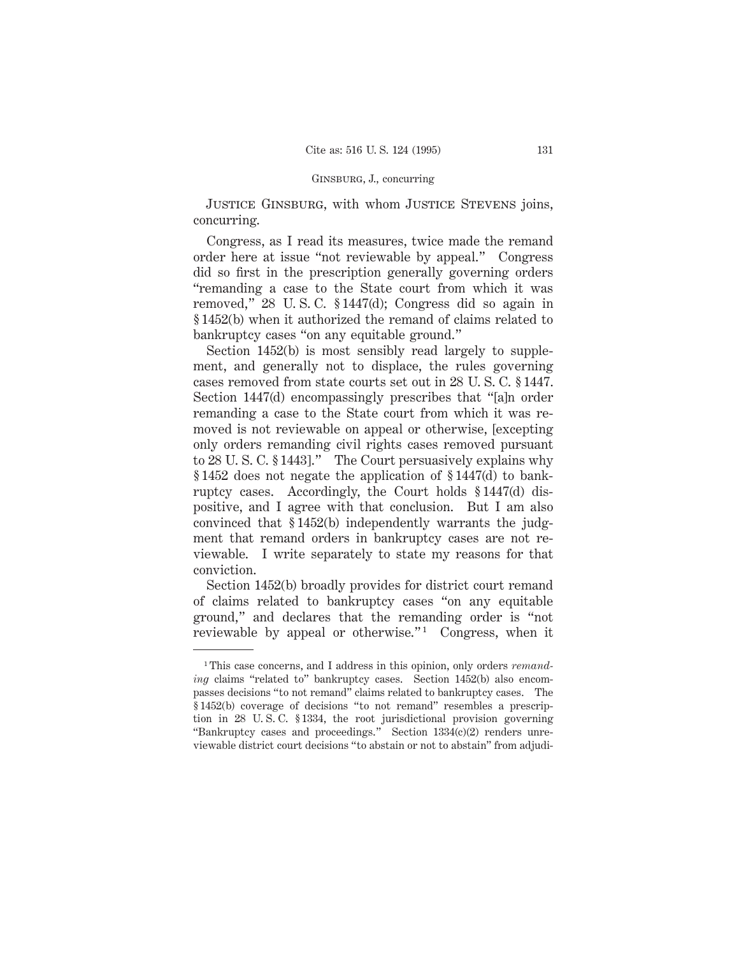Justice Ginsburg, with whom Justice Stevens joins, concurring.

Congress, as I read its measures, twice made the remand order here at issue "not reviewable by appeal." Congress did so first in the prescription generally governing orders "remanding a case to the State court from which it was removed," 28 U. S. C. § 1447(d); Congress did so again in § 1452(b) when it authorized the remand of claims related to bankruptcy cases "on any equitable ground."

Section 1452(b) is most sensibly read largely to supplement, and generally not to displace, the rules governing cases removed from state courts set out in 28 U. S. C. § 1447. Section 1447(d) encompassingly prescribes that "[a]n order remanding a case to the State court from which it was removed is not reviewable on appeal or otherwise, [excepting only orders remanding civil rights cases removed pursuant to 28 U. S. C. § 1443]." The Court persuasively explains why § 1452 does not negate the application of § 1447(d) to bankruptcy cases. Accordingly, the Court holds § 1447(d) dispositive, and I agree with that conclusion. But I am also convinced that § 1452(b) independently warrants the judgment that remand orders in bankruptcy cases are not reviewable. I write separately to state my reasons for that conviction.

Section 1452(b) broadly provides for district court remand of claims related to bankruptcy cases "on any equitable ground," and declares that the remanding order is "not reviewable by appeal or otherwise."<sup>1</sup> Congress, when it

<sup>&</sup>lt;sup>1</sup>This case concerns, and I address in this opinion, only orders *remanding* claims "related to" bankruptcy cases. Section 1452(b) also encompasses decisions "to not remand" claims related to bankruptcy cases. The § 1452(b) coverage of decisions "to not remand" resembles a prescription in 28 U. S. C. § 1334, the root jurisdictional provision governing "Bankruptcy cases and proceedings." Section 1334(c)(2) renders unreviewable district court decisions "to abstain or not to abstain" from adjudi-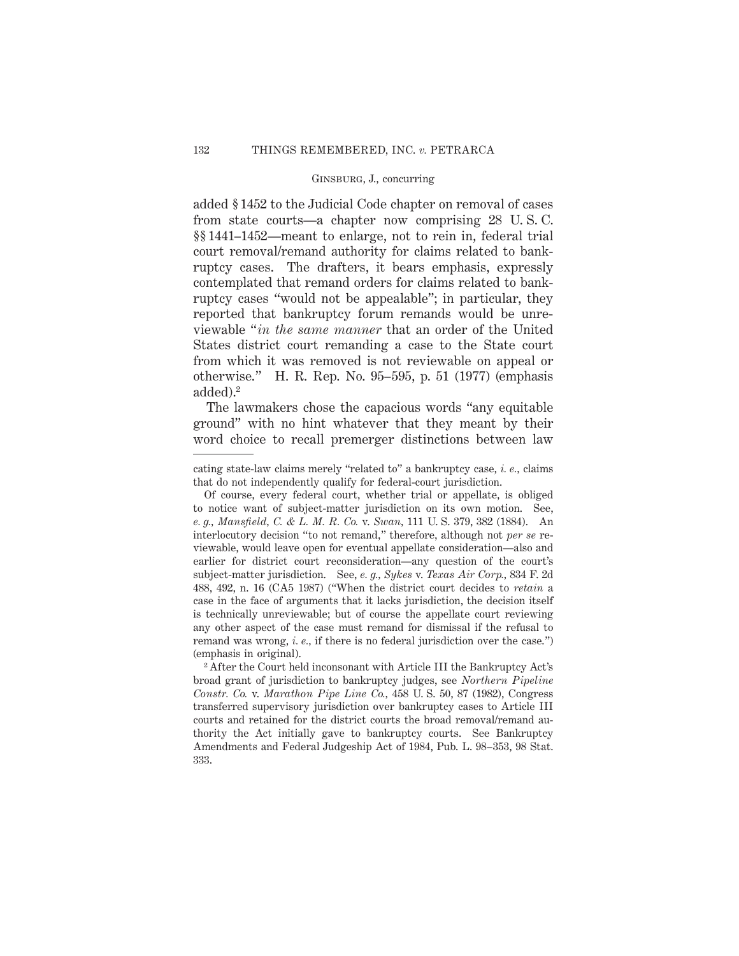added § 1452 to the Judicial Code chapter on removal of cases from state courts—a chapter now comprising 28 U. S. C. §§ 1441–1452—meant to enlarge, not to rein in, federal trial court removal/remand authority for claims related to bankruptcy cases. The drafters, it bears emphasis, expressly contemplated that remand orders for claims related to bankruptcy cases "would not be appealable"; in particular, they reported that bankruptcy forum remands would be unreviewable "*in the same manner* that an order of the United States district court remanding a case to the State court from which it was removed is not reviewable on appeal or otherwise." H. R. Rep. No. 95–595, p. 51 (1977) (emphasis added).2

The lawmakers chose the capacious words "any equitable ground" with no hint whatever that they meant by their word choice to recall premerger distinctions between law

cating state-law claims merely "related to" a bankruptcy case, *i. e.,* claims that do not independently qualify for federal-court jurisdiction.

Of course, every federal court, whether trial or appellate, is obliged to notice want of subject-matter jurisdiction on its own motion. See, *e. g., Mansfield, C. & L. M. R. Co.* v. *Swan,* 111 U. S. 379, 382 (1884). An interlocutory decision "to not remand," therefore, although not *per se* reviewable, would leave open for eventual appellate consideration—also and earlier for district court reconsideration—any question of the court's subject-matter jurisdiction. See, *e. g., Sykes* v. *Texas Air Corp.,* 834 F. 2d 488, 492, n. 16 (CA5 1987) ("When the district court decides to *retain* a case in the face of arguments that it lacks jurisdiction, the decision itself is technically unreviewable; but of course the appellate court reviewing any other aspect of the case must remand for dismissal if the refusal to remand was wrong, *i. e.,* if there is no federal jurisdiction over the case.") (emphasis in original).

<sup>&</sup>lt;sup>2</sup> After the Court held inconsonant with Article III the Bankruptcy Act's broad grant of jurisdiction to bankruptcy judges, see *Northern Pipeline Constr. Co.* v. *Marathon Pipe Line Co.,* 458 U. S. 50, 87 (1982), Congress transferred supervisory jurisdiction over bankruptcy cases to Article III courts and retained for the district courts the broad removal/remand authority the Act initially gave to bankruptcy courts. See Bankruptcy Amendments and Federal Judgeship Act of 1984, Pub. L. 98–353, 98 Stat. 333.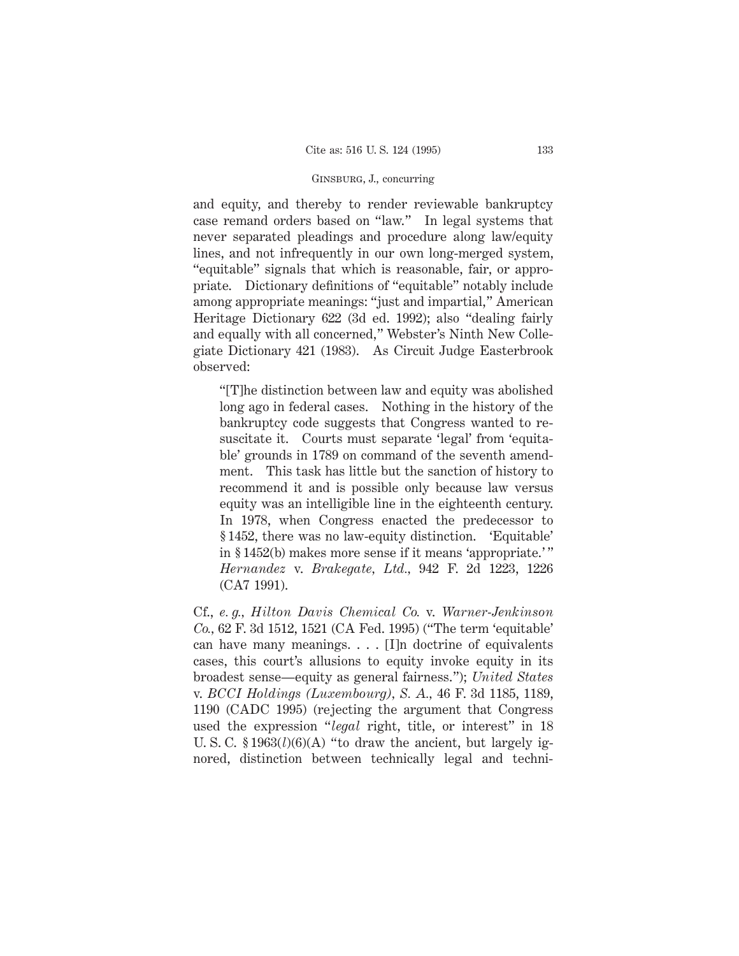and equity, and thereby to render reviewable bankruptcy case remand orders based on "law." In legal systems that never separated pleadings and procedure along law/equity lines, and not infrequently in our own long-merged system, "equitable" signals that which is reasonable, fair, or appropriate. Dictionary definitions of "equitable" notably include among appropriate meanings: "just and impartial," American Heritage Dictionary 622 (3d ed. 1992); also "dealing fairly and equally with all concerned," Webster's Ninth New Collegiate Dictionary 421 (1983). As Circuit Judge Easterbrook observed:

"[T]he distinction between law and equity was abolished long ago in federal cases. Nothing in the history of the bankruptcy code suggests that Congress wanted to resuscitate it. Courts must separate 'legal' from 'equitable' grounds in 1789 on command of the seventh amendment. This task has little but the sanction of history to recommend it and is possible only because law versus equity was an intelligible line in the eighteenth century. In 1978, when Congress enacted the predecessor to § 1452, there was no law-equity distinction. 'Equitable' in § 1452(b) makes more sense if it means 'appropriate.' " *Hernandez* v. *Brakegate, Ltd.,* 942 F. 2d 1223, 1226 (CA7 1991).

Cf., *e. g., Hilton Davis Chemical Co.* v. *Warner-Jenkinson Co.,* 62 F. 3d 1512, 1521 (CA Fed. 1995) ("The term 'equitable' can have many meanings. . . . [I]n doctrine of equivalents cases, this court's allusions to equity invoke equity in its broadest sense—equity as general fairness."); *United States* v. *BCCI Holdings (Luxembourg), S. A.,* 46 F. 3d 1185, 1189, 1190 (CADC 1995) (rejecting the argument that Congress used the expression "*legal* right, title, or interest" in 18 U. S. C.  $$1963(l)(6)(A)$  "to draw the ancient, but largely ignored, distinction between technically legal and techni-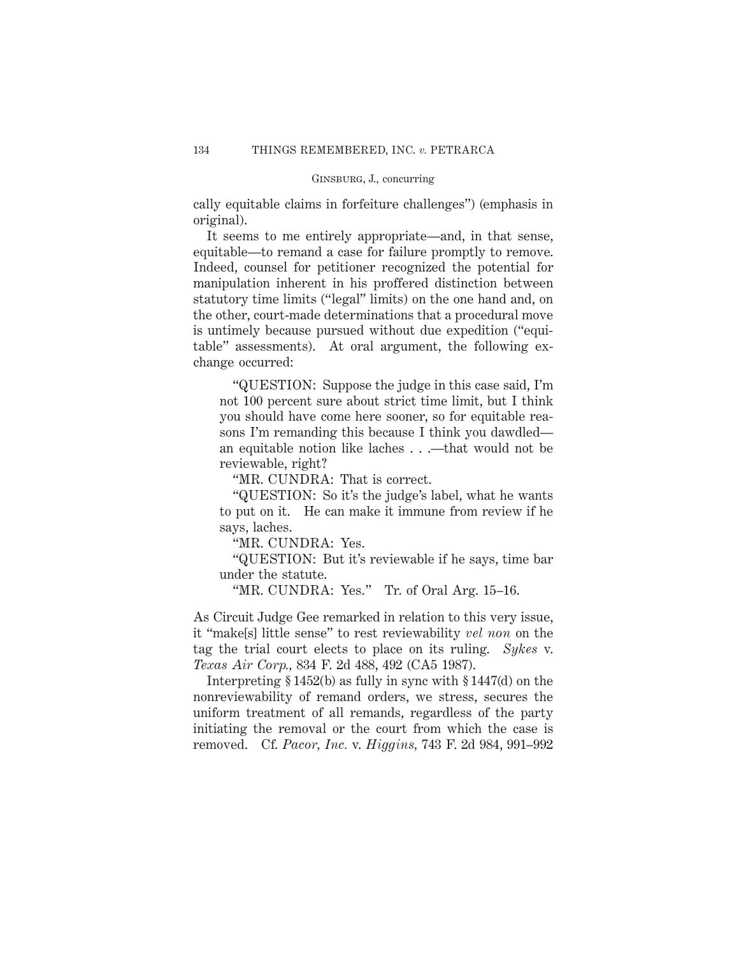cally equitable claims in forfeiture challenges") (emphasis in original).

It seems to me entirely appropriate—and, in that sense, equitable—to remand a case for failure promptly to remove. Indeed, counsel for petitioner recognized the potential for manipulation inherent in his proffered distinction between statutory time limits ("legal" limits) on the one hand and, on the other, court-made determinations that a procedural move is untimely because pursued without due expedition ("equitable" assessments). At oral argument, the following exchange occurred:

"QUESTION: Suppose the judge in this case said, I'm not 100 percent sure about strict time limit, but I think you should have come here sooner, so for equitable reasons I'm remanding this because I think you dawdled an equitable notion like laches . . .—that would not be reviewable, right?

"MR. CUNDRA: That is correct.

"QUESTION: So it's the judge's label, what he wants to put on it. He can make it immune from review if he says, laches.

"MR. CUNDRA: Yes.

"QUESTION: But it's reviewable if he says, time bar under the statute.

"MR. CUNDRA: Yes." Tr. of Oral Arg. 15–16.

As Circuit Judge Gee remarked in relation to this very issue, it "make[s] little sense" to rest reviewability *vel non* on the tag the trial court elects to place on its ruling. *Sykes* v. *Texas Air Corp.,* 834 F. 2d 488, 492 (CA5 1987).

Interpreting § 1452(b) as fully in sync with § 1447(d) on the nonreviewability of remand orders, we stress, secures the uniform treatment of all remands, regardless of the party initiating the removal or the court from which the case is removed. Cf. *Pacor, Inc.* v. *Higgins,* 743 F. 2d 984, 991–992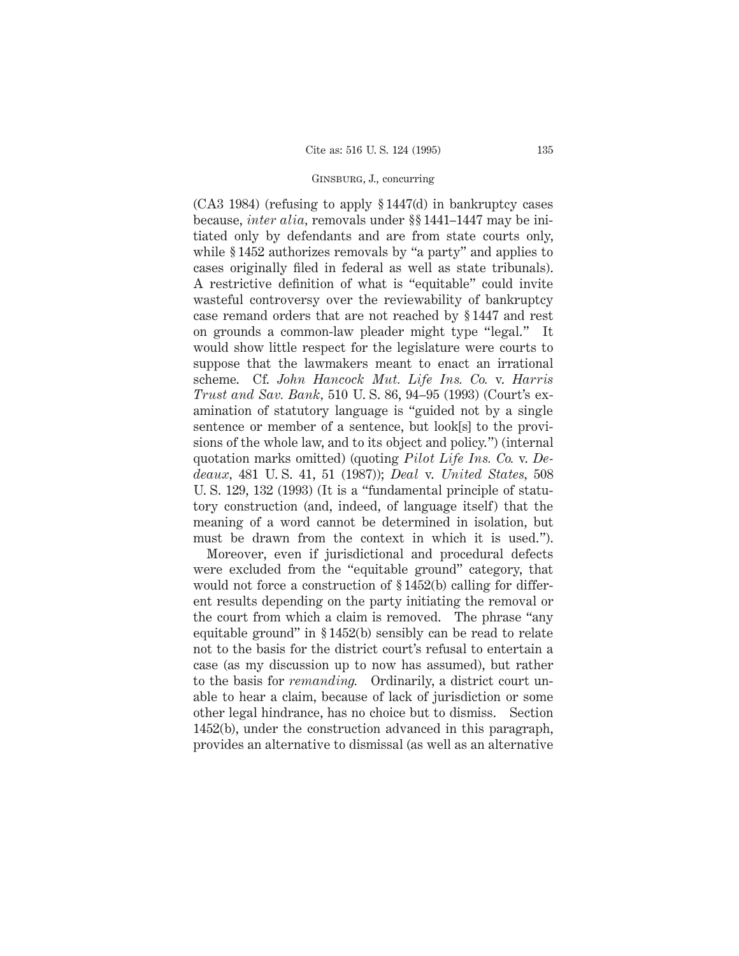(CA3 1984) (refusing to apply § 1447(d) in bankruptcy cases because, *inter alia,* removals under §§ 1441–1447 may be initiated only by defendants and are from state courts only, while § 1452 authorizes removals by "a party" and applies to cases originally filed in federal as well as state tribunals). A restrictive definition of what is "equitable" could invite wasteful controversy over the reviewability of bankruptcy case remand orders that are not reached by § 1447 and rest on grounds a common-law pleader might type "legal." It would show little respect for the legislature were courts to suppose that the lawmakers meant to enact an irrational scheme. Cf. *John Hancock Mut. Life Ins. Co.* v. *Harris Trust and Sav. Bank,* 510 U. S. 86, 94–95 (1993) (Court's examination of statutory language is "guided not by a single sentence or member of a sentence, but look[s] to the provisions of the whole law, and to its object and policy.") (internal quotation marks omitted) (quoting *Pilot Life Ins. Co.* v. *Dedeaux,* 481 U. S. 41, 51 (1987)); *Deal* v. *United States,* 508 U. S. 129, 132 (1993) (It is a "fundamental principle of statutory construction (and, indeed, of language itself) that the meaning of a word cannot be determined in isolation, but must be drawn from the context in which it is used.").

Moreover, even if jurisdictional and procedural defects were excluded from the "equitable ground" category, that would not force a construction of §1452(b) calling for different results depending on the party initiating the removal or the court from which a claim is removed. The phrase "any equitable ground" in § 1452(b) sensibly can be read to relate not to the basis for the district court's refusal to entertain a case (as my discussion up to now has assumed), but rather to the basis for *remanding.* Ordinarily, a district court unable to hear a claim, because of lack of jurisdiction or some other legal hindrance, has no choice but to dismiss. Section 1452(b), under the construction advanced in this paragraph, provides an alternative to dismissal (as well as an alternative